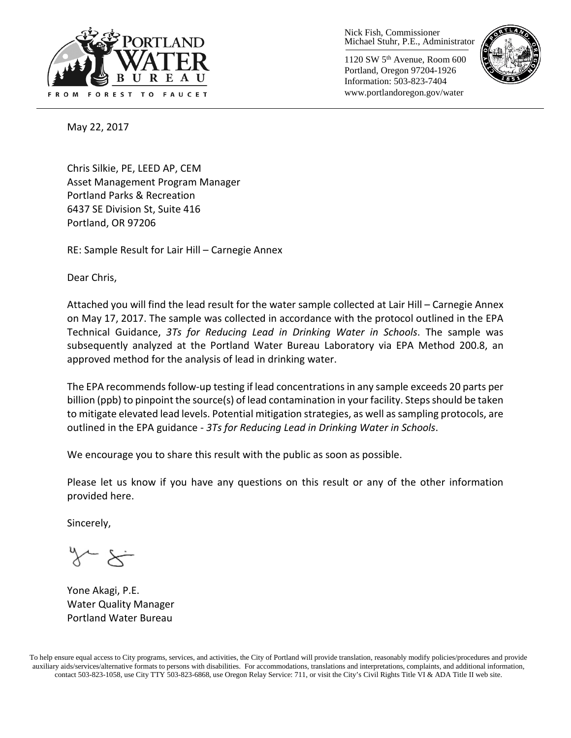

Nick Fish, Commissioner Michael Stuhr, P.E., Administrator

1120 SW 5th Avenue, Room 600 Portland, Oregon 97204-1926 Information: 503-823-7404 www.portlandoregon.gov/water



May 22, 2017

Chris Silkie, PE, LEED AP, CEM Asset Management Program Manager Portland Parks & Recreation 6437 SE Division St, Suite 416 Portland, OR 97206

RE: Sample Result for Lair Hill – Carnegie Annex

Dear Chris,

Attached you will find the lead result for the water sample collected at Lair Hill – Carnegie Annex on May 17, 2017. The sample was collected in accordance with the protocol outlined in the EPA Technical Guidance, *3Ts for Reducing Lead in Drinking Water in Schools*. The sample was subsequently analyzed at the Portland Water Bureau Laboratory via EPA Method 200.8, an approved method for the analysis of lead in drinking water.

The EPA recommends follow-up testing if lead concentrations in any sample exceeds 20 parts per billion (ppb) to pinpoint the source(s) of lead contamination in your facility. Steps should be taken to mitigate elevated lead levels. Potential mitigation strategies, as well as sampling protocols, are outlined in the EPA guidance - *3Ts for Reducing Lead in Drinking Water in Schools*.

We encourage you to share this result with the public as soon as possible.

Please let us know if you have any questions on this result or any of the other information provided here.

Sincerely,

Yone Akagi, P.E. Water Quality Manager Portland Water Bureau

To help ensure equal access to City programs, services, and activities, the City of Portland will provide translation, reasonably modify policies/procedures and provide auxiliary aids/services/alternative formats to persons with disabilities. For accommodations, translations and interpretations, complaints, and additional information, contact 503-823-1058, use City TTY 503-823-6868, use Oregon Relay Service: 711, or visi[t the City's Civil Rights Title VI & ADA Title II web site.](http://www.portlandoregon.gov/oehr/66458)